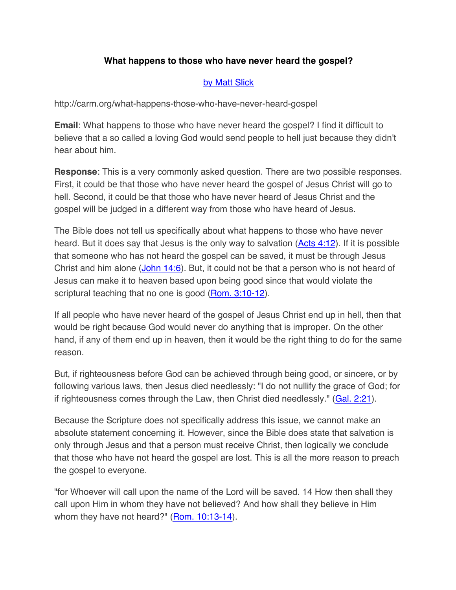## **What happens to those who have never heard the gospel?**

## by Matt Slick

http://carm.org/what-happens-those-who-have-never-heard-gospel

**Email**: What happens to those who have never heard the gospel? I find it difficult to believe that a so called a loving God would send people to hell just because they didn't hear about him.

**Response**: This is a very commonly asked question. There are two possible responses. First, it could be that those who have never heard the gospel of Jesus Christ will go to hell. Second, it could be that those who have never heard of Jesus Christ and the gospel will be judged in a different way from those who have heard of Jesus.

The Bible does not tell us specifically about what happens to those who have never heard. But it does say that Jesus is the only way to salvation (Acts 4:12). If it is possible that someone who has not heard the gospel can be saved, it must be through Jesus Christ and him alone (John 14:6). But, it could not be that a person who is not heard of Jesus can make it to heaven based upon being good since that would violate the scriptural teaching that no one is good (Rom. 3:10-12).

If all people who have never heard of the gospel of Jesus Christ end up in hell, then that would be right because God would never do anything that is improper. On the other hand, if any of them end up in heaven, then it would be the right thing to do for the same reason.

But, if righteousness before God can be achieved through being good, or sincere, or by following various laws, then Jesus died needlessly: "I do not nullify the grace of God; for if righteousness comes through the Law, then Christ died needlessly." (Gal. 2:21).

Because the Scripture does not specifically address this issue, we cannot make an absolute statement concerning it. However, since the Bible does state that salvation is only through Jesus and that a person must receive Christ, then logically we conclude that those who have not heard the gospel are lost. This is all the more reason to preach the gospel to everyone.

"for Whoever will call upon the name of the Lord will be saved. 14 How then shall they call upon Him in whom they have not believed? And how shall they believe in Him whom they have not heard?" (Rom. 10:13-14).